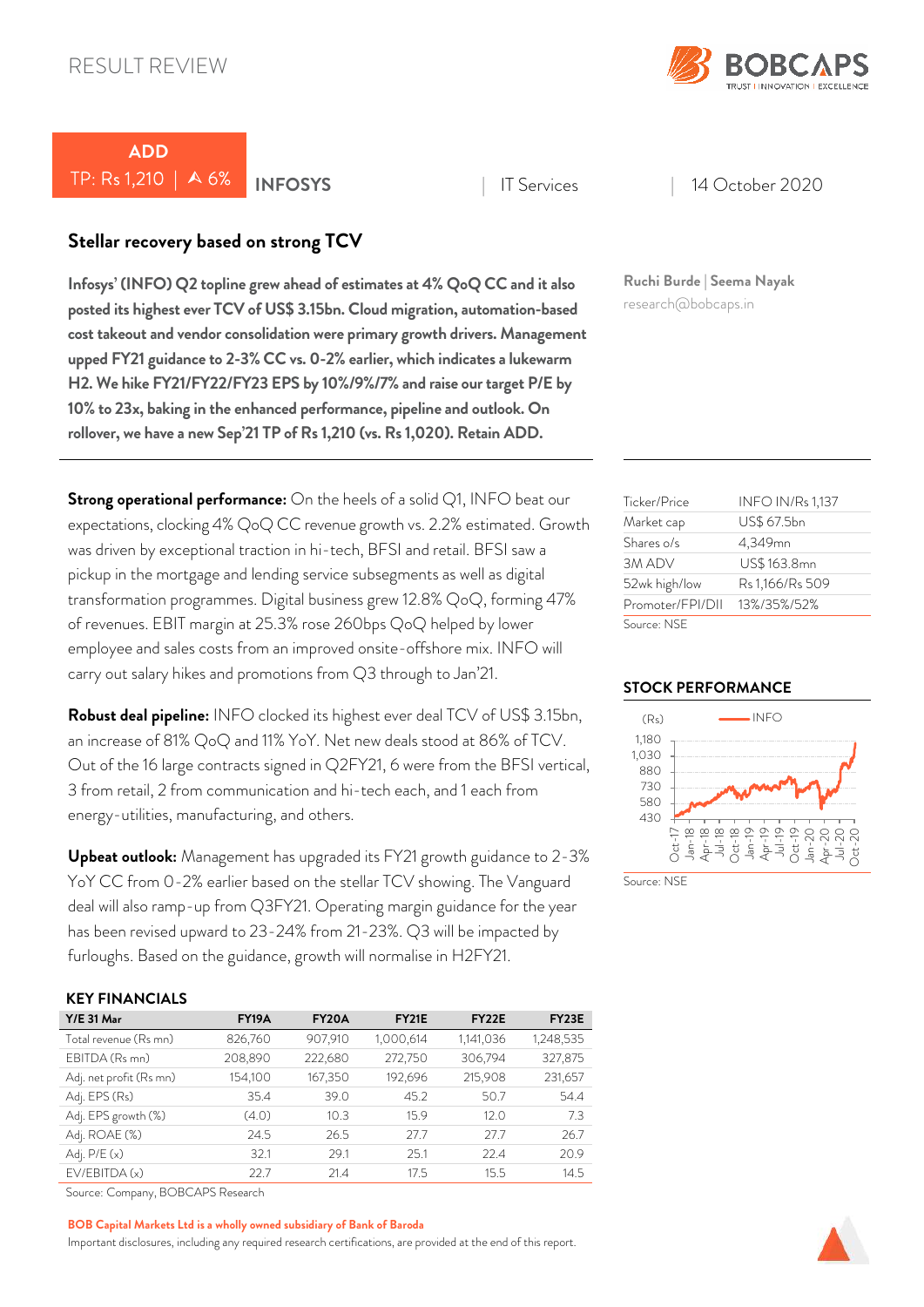

# *ADD*  TP: Rs 1,210 | A 6% **INFOSYS** | IT Services | 14 October 2020

# *Stellar recovery based on strong TCV*

*Infosys' (INFO) Q2 topline grew ahead of estimates at 4% QoQ CC and it also posted its highest ever TCV of US\$ 3.15bn. Cloud migration, automation-based cost takeout and vendor consolidation were primary growth drivers. Management upped FY21 guidance to 2-3% CC vs. 0-2% earlier, which indicates a lukewarm H2. We hike FY21/FY22/FY23 EPS by 10%/9%/7% and raise our target P/E by 10% to 23x, baking in the enhanced performance, pipeline and outlook. On rollover, we have a new Sep'21 TP of Rs 1,210 (vs. Rs 1,020). Retain ADD.* 

*Strong operational performance:* On the heels of a solid Q1, INFO beat our expectations, clocking 4% QoQ CC revenue growth vs. 2.2% estimated. Growth was driven by exceptional traction in hi-tech, BFSI and retail. BFSI saw a pickup in the mortgage and lending service subsegments as well as digital transformation programmes. Digital business grew 12.8% QoQ, forming 47% of revenues. EBIT margin at 25.3% rose 260bps QoQ helped by lower employee and sales costs from an improved onsite-offshore mix. INFO will carry out salary hikes and promotions from Q3 through to Jan'21.

*Robust deal pipeline:* INFO clocked its highest ever deal TCV of US\$ 3.15bn, an increase of 81% QoQ and 11% YoY. Net new deals stood at 86% of TCV. Out of the 16 large contracts signed in Q2FY21, 6 were from the BFSI vertical, 3 from retail, 2 from communication and hi-tech each, and 1 each from energy-utilities, manufacturing, and others.

*Upbeat outlook:* Management has upgraded its FY21 growth guidance to 2-3% YoY CC from 0-2% earlier based on the stellar TCV showing. The Vanguard deal will also ramp-up from Q3FY21. Operating margin guidance for the year has been revised upward to 23-24% from 21-23%. Q3 will be impacted by furloughs. Based on the guidance, growth will normalise in H2FY21.

### *KEY FINANCIALS*

| $Y/E$ 31 Mar            | <b>FY19A</b> | FY <sub>20</sub> A | <b>FY21E</b> | FY <sub>22</sub> E | FY <sub>23</sub> E |
|-------------------------|--------------|--------------------|--------------|--------------------|--------------------|
| Total revenue (Rs mn)   | 826,760      | 907,910            | 1,000,614    | 1,141,036          | 1,248,535          |
| EBITDA (Rs mn)          | 208,890      | 222,680            | 272,750      | 306,794            | 327,875            |
| Adj. net profit (Rs mn) | 154,100      | 167,350            | 192,696      | 215,908            | 231,657            |
| Adj. EPS (Rs)           | 35.4         | 39.0               | 45.2         | 50.7               | 54.4               |
| Adj. EPS growth (%)     | (4.0)        | 10.3               | 15.9         | 12.0               | 7.3                |
| Adj. ROAE (%)           | 24.5         | 26.5               | 27.7         | 27.7               | 26.7               |
| Adj. $P/E(x)$           | 32.1         | 29.1               | 25.1         | 22.4               | 20.9               |
| EV/EBITDA (x)           | 22.7         | 21.4               | 17.5         | 15.5               | 14.5               |

Source: Company, BOBCAPS Research

#### *BOB Capital Markets Ltd is a wholly owned subsidiary of Bank of Baroda*

Important disclosures, including any required research certifications, are provided at the end of this report.

*Ruchi Burde | Seema Nayak* research@bobcaps.in

| Ticker/Price     | <b>INFO IN/Rs 1,137</b> |
|------------------|-------------------------|
| Market cap       | US\$ 67.5bn             |
| Shares o/s       | 4,349mn                 |
| 3M ADV           | US\$163.8mn             |
| 52wk high/low    | Rs 1,166/Rs 509         |
| Promoter/FPI/DII | 13%/35%/52%             |
| Source: NSF      |                         |

### *STOCK PERFORMANCE*



Source: NSE

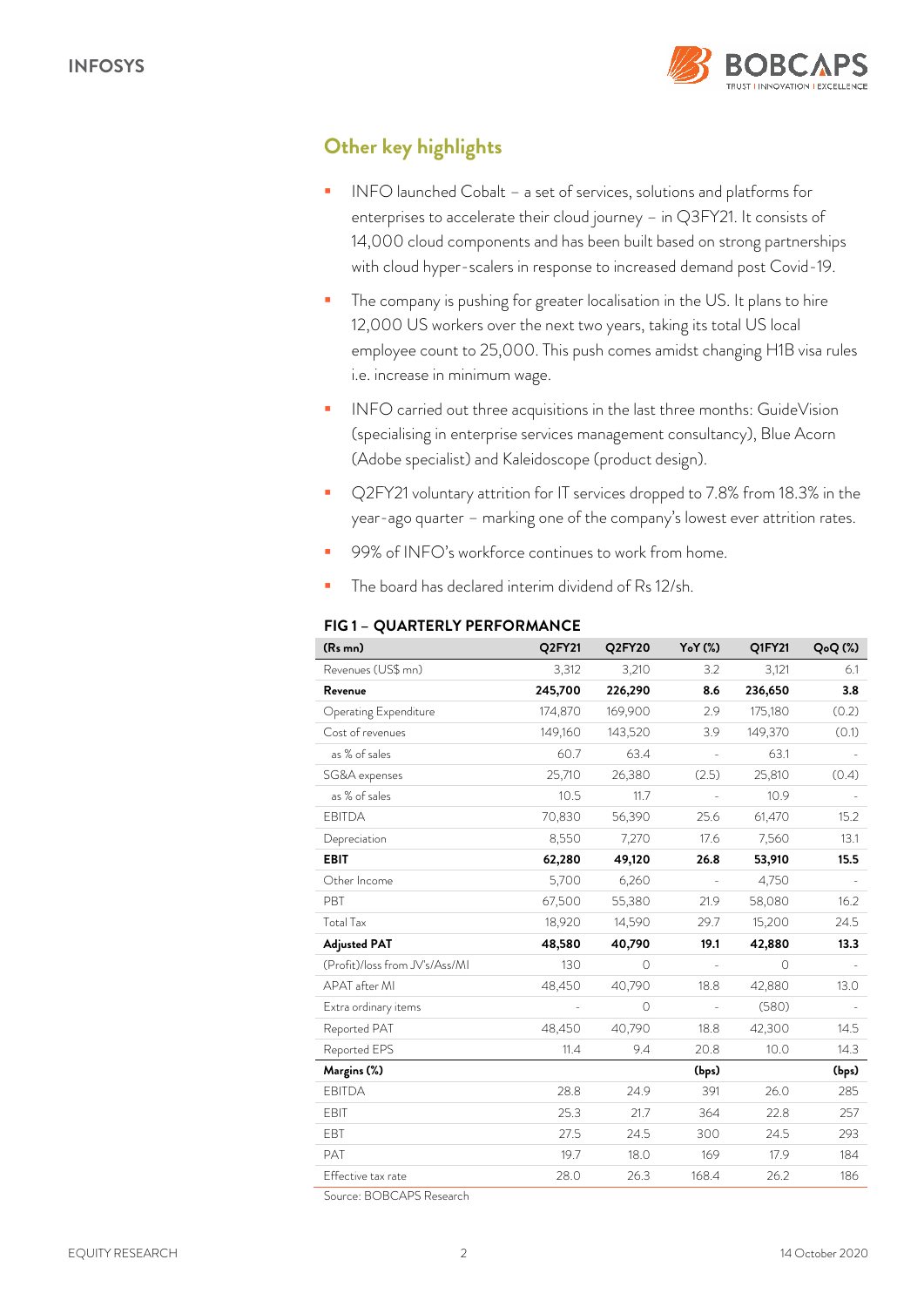

# *Other key highlights*

- INFO launched Cobalt a set of services, solutions and platforms for enterprises to accelerate their cloud journey – in Q3FY21. It consists of 14,000 cloud components and has been built based on strong partnerships with cloud hyper-scalers in response to increased demand post Covid-19.
- The company is pushing for greater localisation in the US. It plans to hire 12,000 US workers over the next two years, taking its total US local employee count to 25,000. This push comes amidst changing H1B visa rules i.e. increase in minimum wage.
- INFO carried out three acquisitions in the last three months: GuideVision (specialising in enterprise services management consultancy), Blue Acorn (Adobe specialist) and Kaleidoscope (product design).
- Q2FY21 voluntary attrition for IT services dropped to 7.8% from 18.3% in the year-ago quarter – marking one of the company's lowest ever attrition rates.
- 99% of INFO's workforce continues to work from home.
- The board has declared interim dividend of Rs 12/sh.

| (Rs mn)                                                              | Q2FY21  | Q2FY20   | Y <sub>o</sub> Y (%)     | Q1FY21  | $Q_0Q$ (%) |
|----------------------------------------------------------------------|---------|----------|--------------------------|---------|------------|
| Revenues (US\$ mn)                                                   | 3,312   | 3,210    | 3.2                      | 3,121   | 6.1        |
| Revenue                                                              | 245,700 | 226,290  | 8.6                      | 236,650 | 3.8        |
| Operating Expenditure                                                | 174,870 | 169,900  | 2.9                      | 175,180 | (0.2)      |
| Cost of revenues                                                     | 149,160 | 143,520  | 3.9                      | 149,370 | (0.1)      |
| as % of sales                                                        | 60.7    | 63.4     |                          | 63.1    |            |
| SG&A expenses                                                        | 25,710  | 26,380   | (2.5)                    | 25,810  | (0.4)      |
| as % of sales                                                        | 10.5    | 11.7     |                          | 10.9    |            |
| <b>EBITDA</b>                                                        | 70,830  | 56,390   | 25.6                     | 61,470  | 15.2       |
| Depreciation                                                         | 8,550   | 7,270    | 17.6                     | 7,560   | 13.1       |
| <b>EBIT</b>                                                          | 62,280  | 49,120   | 26.8                     | 53,910  | 15.5       |
| Other Income                                                         | 5,700   | 6,260    | $\blacksquare$           | 4,750   |            |
| <b>PBT</b>                                                           | 67,500  | 55,380   | 21.9                     | 58,080  | 16.2       |
| <b>Total Tax</b>                                                     | 18,920  | 14,590   | 29.7                     | 15,200  | 24.5       |
| <b>Adjusted PAT</b>                                                  | 48,580  | 40,790   | 19.1                     | 42,880  | 13.3       |
| (Profit)/loss from JV's/Ass/MI                                       | 130     | $\Omega$ | $\overline{\phantom{a}}$ | $\circ$ |            |
| APAT after MI                                                        | 48,450  | 40,790   | 18.8                     | 42,880  | 13.0       |
| Extra ordinary items                                                 |         | $\Omega$ |                          | (580)   |            |
| Reported PAT                                                         | 48,450  | 40,790   | 18.8                     | 42,300  | 14.5       |
| Reported EPS                                                         | 11.4    | 9.4      | 20.8                     | 10.0    | 14.3       |
| Margins (%)                                                          |         |          | (bps)                    |         | (bps)      |
| <b>EBITDA</b>                                                        | 28.8    | 24.9     | 391                      | 26.0    | 285        |
| <b>EBIT</b>                                                          | 25.3    | 21.7     | 364                      | 22.8    | 257        |
| EBT                                                                  | 27.5    | 24.5     | 300                      | 24.5    | 293        |
| PAT                                                                  | 19.7    | 18.0     | 169                      | 17.9    | 184        |
| Effective tax rate                                                   | 28.0    | 26.3     | 168.4                    | 26.2    | 186        |
| $C_{\text{source}}$ , $D \cap D \cap A \cap C$ , $D_{\text{source}}$ |         |          |                          |         |            |

## *FIG 1 – QUARTERLY PERFORMANCE*

Source: BOBCAPS Research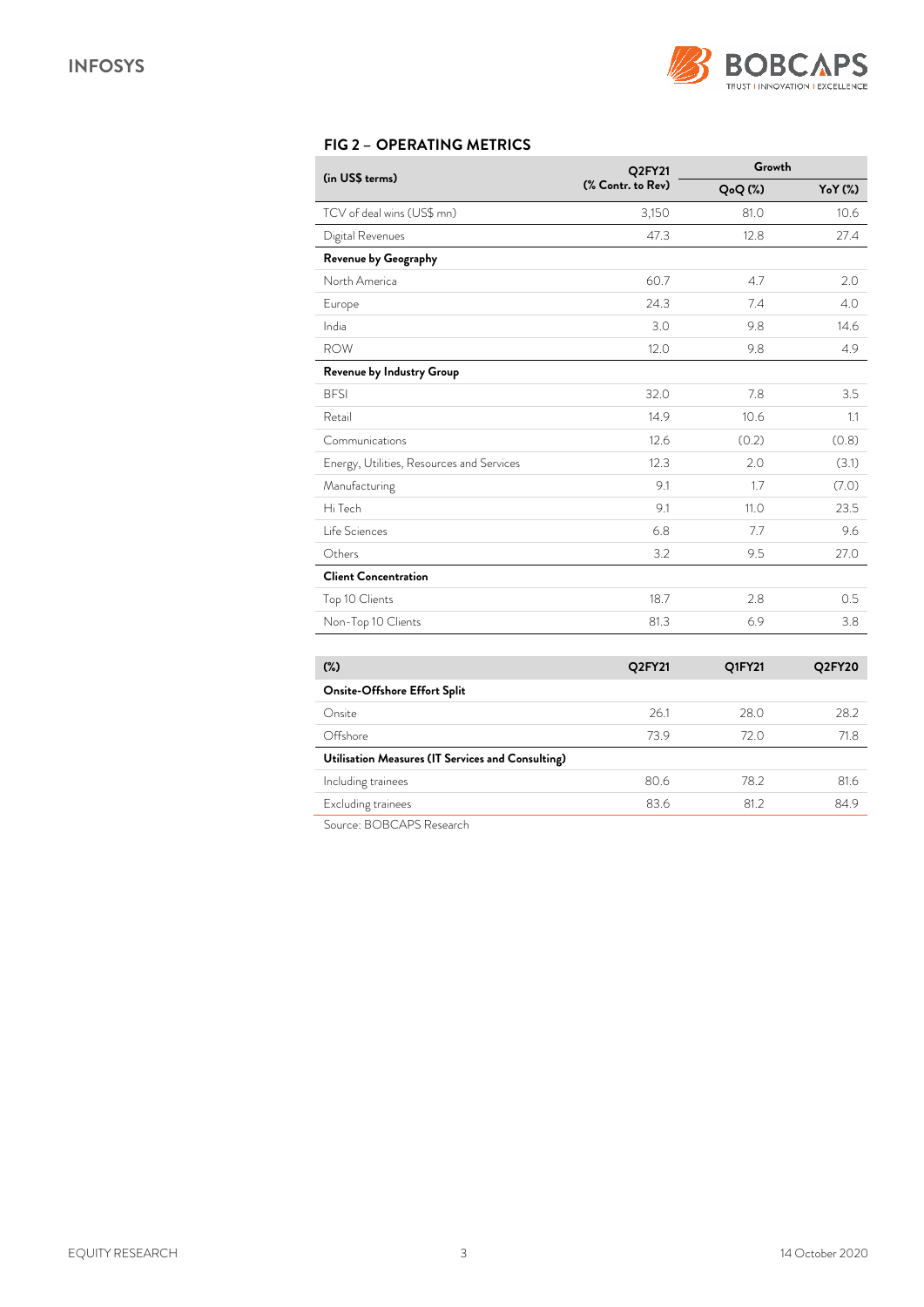

# *FIG 2 – OPERATING METRICS*

|                                           | Q2FY21            | Growth              |        |  |  |
|-------------------------------------------|-------------------|---------------------|--------|--|--|
| (in US\$ terms)                           | (% Contr. to Rev) | Q <sub>o</sub> Q(%) | YoY(%) |  |  |
| TCV of deal wins (US\$ mn)                | 3,150             | 81.0                | 10.6   |  |  |
| Digital Revenues                          | 47.3              | 12.8                | 27.4   |  |  |
| Revenue by Geography                      |                   |                     |        |  |  |
| North America                             | 60.7              | 4.7                 | 2.0    |  |  |
| Europe                                    | 24.3              | 7.4                 | 4.0    |  |  |
| India                                     | 3.0               | 9.8                 | 14.6   |  |  |
| <b>ROW</b>                                | 12.0              | 9.8                 | 4.9    |  |  |
| Revenue by Industry Group                 |                   |                     |        |  |  |
| <b>BFSI</b>                               | 32.0              | 7.8                 | 3.5    |  |  |
| Retail                                    | 14.9              | 10.6                | 1.1    |  |  |
| Communications                            | 12.6              | (0.2)               | (0.8)  |  |  |
| Energy, Utilities, Resources and Services | 12.3              | 2.0                 | (3.1)  |  |  |
| Manufacturing                             | 9.1               | 1.7                 | (7.0)  |  |  |
| Hi Tech                                   | 9.1               | 11.0                | 23.5   |  |  |
| Life Sciences                             | 6.8               | 7.7                 | 9.6    |  |  |
| Others                                    | 3.2               | 9.5                 | 27.0   |  |  |
| <b>Client Concentration</b>               |                   |                     |        |  |  |
| Top 10 Clients                            | 18.7              | 2.8                 | 0.5    |  |  |
| Non-Top 10 Clients                        | 81.3              | 6.9                 | 3.8    |  |  |

| $(\%)$                                            | Q2FY21 | Q1FY21 | Q2FY20 |  |  |  |  |
|---------------------------------------------------|--------|--------|--------|--|--|--|--|
| Onsite-Offshore Effort Split                      |        |        |        |  |  |  |  |
| Onsite                                            | 26.1   | 28.0   | 28.2   |  |  |  |  |
| Offshore                                          | 73.9   | 72 O   | 71.8   |  |  |  |  |
| Utilisation Measures (IT Services and Consulting) |        |        |        |  |  |  |  |
| Including trainees                                | 80.6   | 78.2   | 81.6   |  |  |  |  |
| Excluding trainees                                | 83.6   | 81.2   | 84.9   |  |  |  |  |
| DODO IDO D<br>$\sim$                              |        |        |        |  |  |  |  |

Source: BOBCAPS Research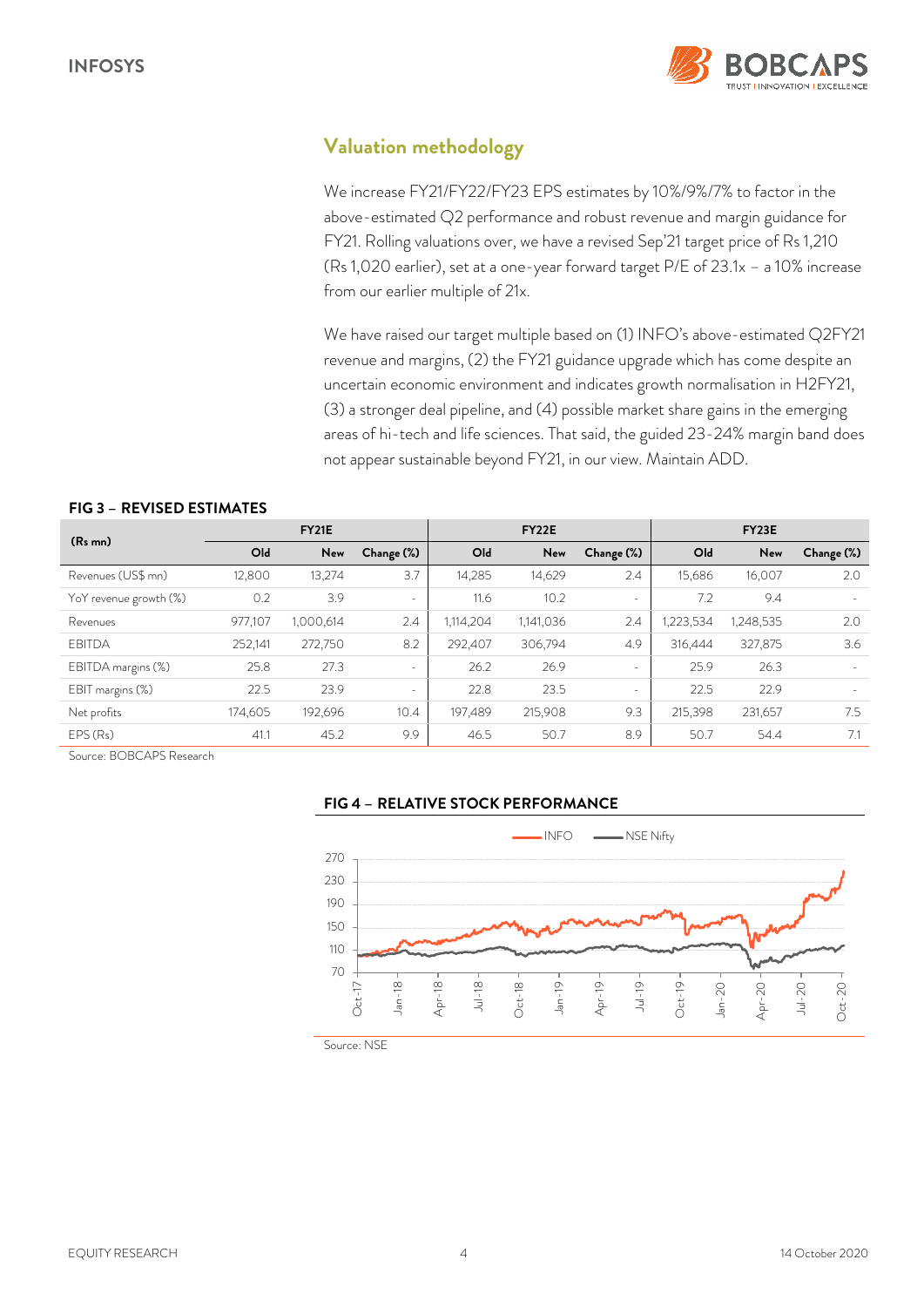

# *Valuation methodology*

We increase FY21/FY22/FY23 EPS estimates by 10%/9%/7% to factor in the above-estimated Q2 performance and robust revenue and margin guidance for FY21. Rolling valuations over, we have a revised Sep'21 target price of Rs 1,210 (Rs 1,020 earlier), set at a one-year forward target P/E of 23.1x – a 10% increase from our earlier multiple of 21x.

We have raised our target multiple based on (1) INFO's above-estimated Q2FY21 revenue and margins, (2) the FY21 guidance upgrade which has come despite an uncertain economic environment and indicates growth normalisation in H2FY21, (3) a stronger deal pipeline, and (4) possible market share gains in the emerging areas of hi-tech and life sciences. That said, the guided 23-24% margin band does not appear sustainable beyond FY21, in our view. Maintain ADD.

## *FIG 3 – REVISED ESTIMATES*

|                        |         | <b>FY21E</b> |                          |           | FY22E     |            |                 | FY23E     |                          |
|------------------------|---------|--------------|--------------------------|-----------|-----------|------------|-----------------|-----------|--------------------------|
| $(Rs$ mn)              | Old     | New          | Change (%)               | Old       | New       | Change (%) | O <sub>ld</sub> | New       | Change (%)               |
| Revenues (US\$ mn)     | 12,800  | 13,274       | 3.7                      | 14,285    | 14,629    | 2.4        | 15.686          | 16,007    | 2.0                      |
| YoY revenue growth (%) | 0.2     | 3.9          | $\sim$                   | 11.6      | 10.2      | $\sim$     | 7.2             | 9.4       | $\overline{\phantom{a}}$ |
| Revenues               | 977,107 | 1,000,614    | 2.4                      | 1,114,204 | 1,141,036 | 2.4        | ,223,534        | 1,248,535 | 2.0                      |
| <b>FBITDA</b>          | 252,141 | 272,750      | 8.2                      | 292.407   | 306,794   | 4.9        | 316,444         | 327,875   | 3.6                      |
| EBITDA margins (%)     | 25.8    | 27.3         | $\sim$                   | 26.2      | 26.9      | $\sim$     | 25.9            | 26.3      | $\overline{\phantom{a}}$ |
| EBIT margins (%)       | 22.5    | 23.9         | $\overline{\phantom{a}}$ | 22.8      | 23.5      | $\sim$     | 22.5            | 22.9      |                          |
| Net profits            | 174,605 | 192,696      | 10.4                     | 197,489   | 215,908   | 9.3        | 215,398         | 231,657   | 7.5                      |
| EPS(Rs)                | 41.1    | 45.2         | 9.9                      | 46.5      | 50.7      | 8.9        | 50.7            | 54.4      | 7.1                      |

Source: BOBCAPS Research





Source: NSE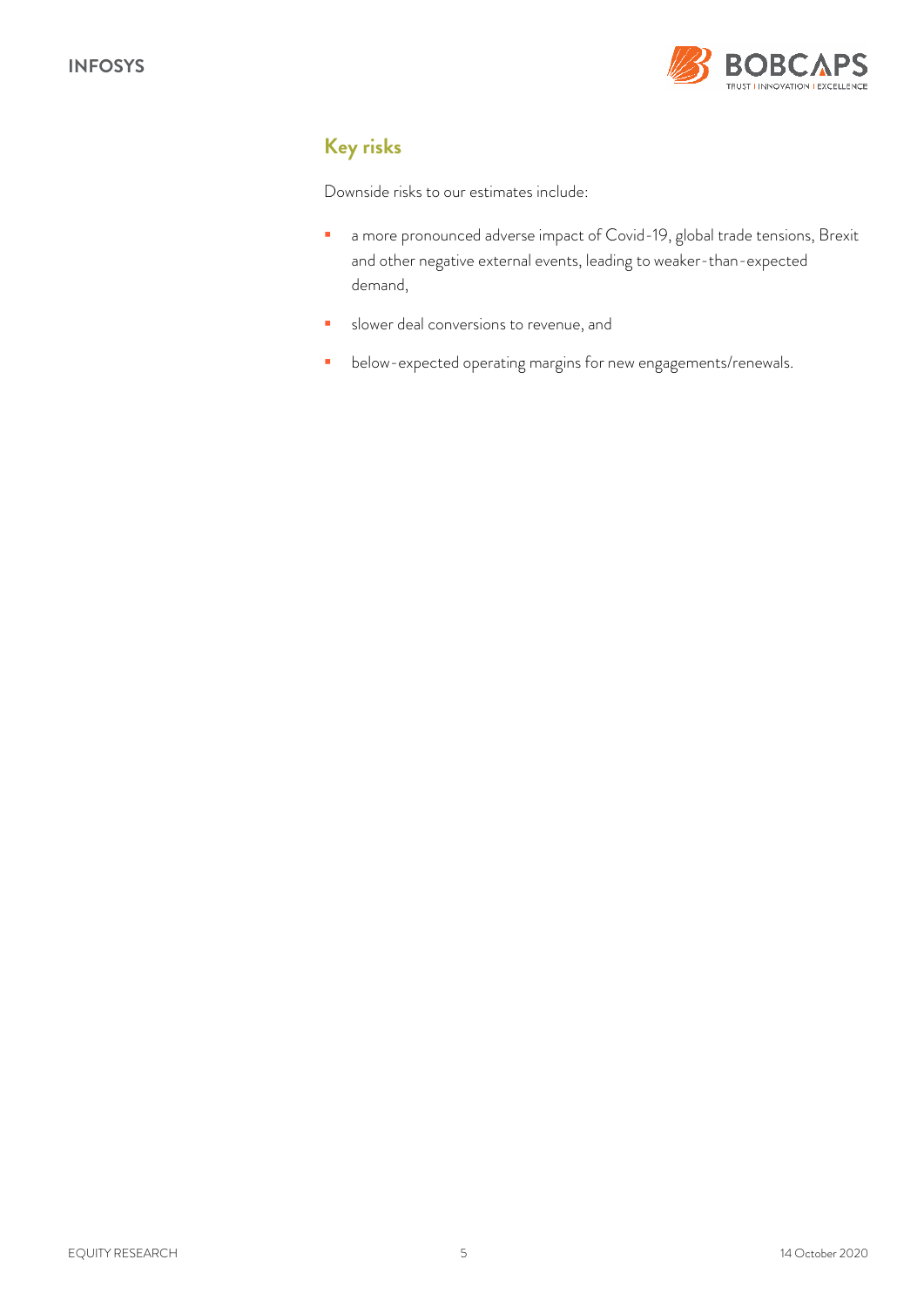

# *Key risks*

Downside risks to our estimates include:

- a more pronounced adverse impact of Covid-19, global trade tensions, Brexit and other negative external events, leading to weaker-than-expected demand,
- slower deal conversions to revenue, and
- **•** below-expected operating margins for new engagements/renewals.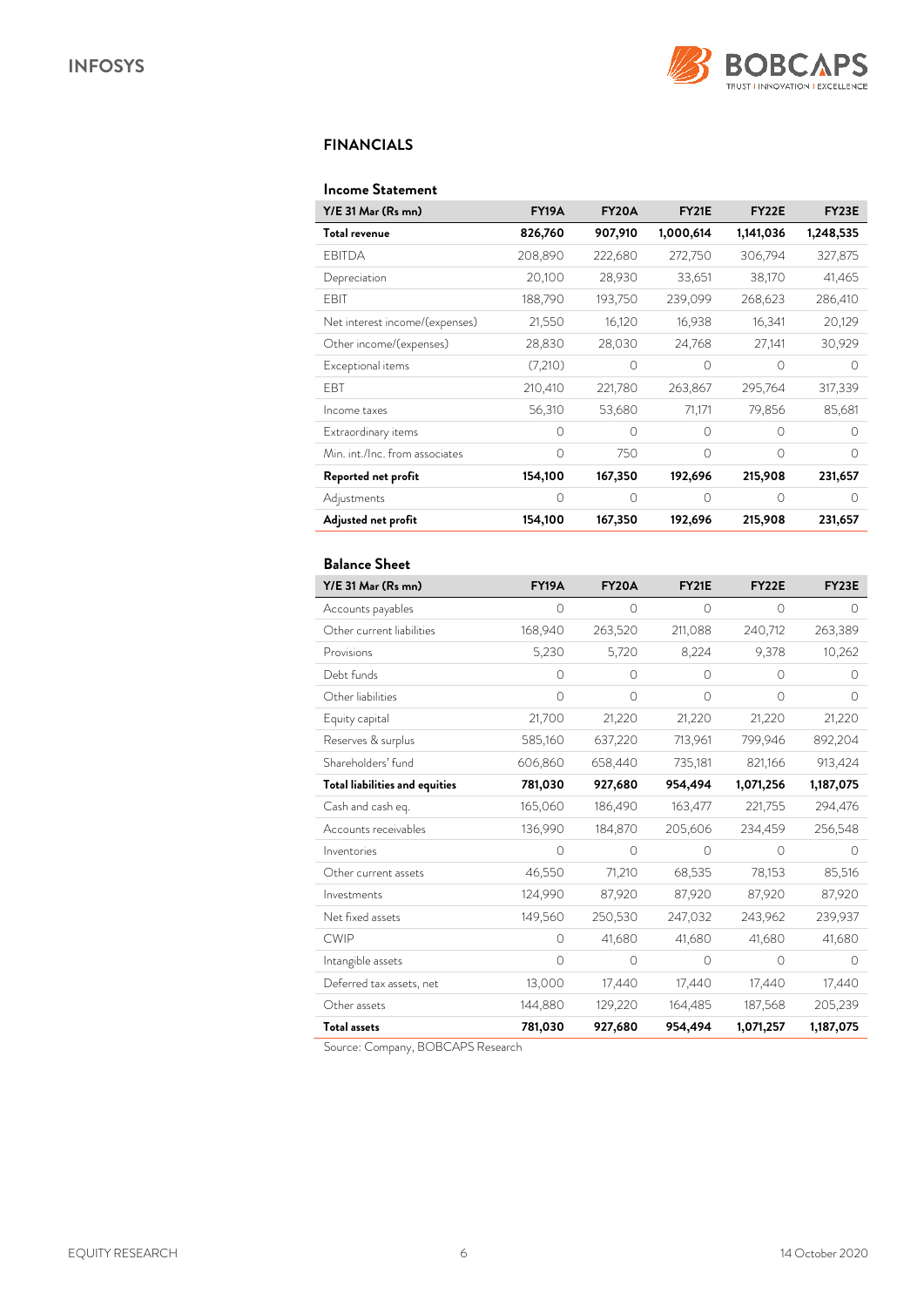

## *FINANCIALS*

#### *Income Statement*

| Y/E 31 Mar (Rs mn)             | <b>FY19A</b> | <b>FY20A</b> | <b>FY21E</b> | FY <sub>22</sub> E | <b>FY23E</b> |
|--------------------------------|--------------|--------------|--------------|--------------------|--------------|
| Total revenue                  | 826,760      | 907,910      | 1,000,614    | 1,141,036          | 1,248,535    |
| <b>EBITDA</b>                  | 208,890      | 222,680      | 272,750      | 306,794            | 327,875      |
| Depreciation                   | 20,100       | 28,930       | 33,651       | 38,170             | 41,465       |
| EBIT                           | 188,790      | 193,750      | 239,099      | 268,623            | 286,410      |
| Net interest income/(expenses) | 21,550       | 16,120       | 16,938       | 16,341             | 20,129       |
| Other income/(expenses)        | 28,830       | 28,030       | 24,768       | 27,141             | 30,929       |
| Exceptional items              | (7,210)      | 0            | 0            | $\Omega$           | $\bigcap$    |
| EBT                            | 210,410      | 221,780      | 263,867      | 295,764            | 317,339      |
| Income taxes                   | 56,310       | 53,680       | 71,171       | 79,856             | 85,681       |
| Extraordinary items            | $\Omega$     | $\bigcap$    | $\bigcap$    | $\bigcap$          | ∩            |
| Min. int./Inc. from associates | $\Omega$     | 750          | $\Omega$     | $\bigcap$          | ∩            |
| Reported net profit            | 154,100      | 167,350      | 192,696      | 215,908            | 231,657      |
| Adjustments                    | 0            | 0            | $\Omega$     | $\Omega$           | O            |
| Adjusted net profit            | 154,100      | 167,350      | 192,696      | 215,908            | 231,657      |

## *Balance Sheet*

| Y/E 31 Mar (Rs mn)             | <b>FY19A</b> | <b>FY20A</b> | <b>FY21E</b> | <b>FY22E</b> | <b>FY23E</b> |
|--------------------------------|--------------|--------------|--------------|--------------|--------------|
| Accounts payables              | 0            | $\circ$      | $\circ$      | $\circ$      | $\Omega$     |
| Other current liabilities      | 168,940      | 263,520      | 211,088      | 240,712      | 263,389      |
| Provisions                     | 5,230        | 5,720        | 8,224        | 9,378        | 10,262       |
| Debt funds                     | 0            | $\circ$      | 0            | $\Omega$     | 0            |
| Other liabilities              | 0            | $\Omega$     | $\Omega$     | $\bigcirc$   | $\Omega$     |
| Equity capital                 | 21,700       | 21,220       | 21,220       | 21,220       | 21,220       |
| Reserves & surplus             | 585,160      | 637,220      | 713,961      | 799,946      | 892,204      |
| Shareholders' fund             | 606,860      | 658,440      | 735,181      | 821,166      | 913,424      |
| Total liabilities and equities | 781,030      | 927,680      | 954,494      | 1,071,256    | 1,187,075    |
| Cash and cash eq.              | 165,060      | 186,490      | 163,477      | 221,755      | 294,476      |
| Accounts receivables           | 136,990      | 184,870      | 205,606      | 234,459      | 256,548      |
| Inventories                    | $\Omega$     | $\bigcirc$   | $\Omega$     | $\bigcap$    | $\bigcap$    |
| Other current assets           | 46,550       | 71,210       | 68,535       | 78,153       | 85,516       |
| Investments                    | 124,990      | 87,920       | 87,920       | 87,920       | 87,920       |
| Net fixed assets               | 149,560      | 250,530      | 247,032      | 243,962      | 239,937      |
| <b>CWIP</b>                    | $\Omega$     | 41,680       | 41,680       | 41,680       | 41,680       |
| Intangible assets              | $\Omega$     | $\bigcirc$   | $\bigcirc$   | $\bigcirc$   | $\Omega$     |
| Deferred tax assets, net       | 13,000       | 17,440       | 17,440       | 17,440       | 17,440       |
| Other assets                   | 144,880      | 129,220      | 164,485      | 187,568      | 205,239      |
| <b>Total assets</b>            | 781,030      | 927,680      | 954,494      | 1,071,257    | 1,187,075    |

Source: Company, BOBCAPS Research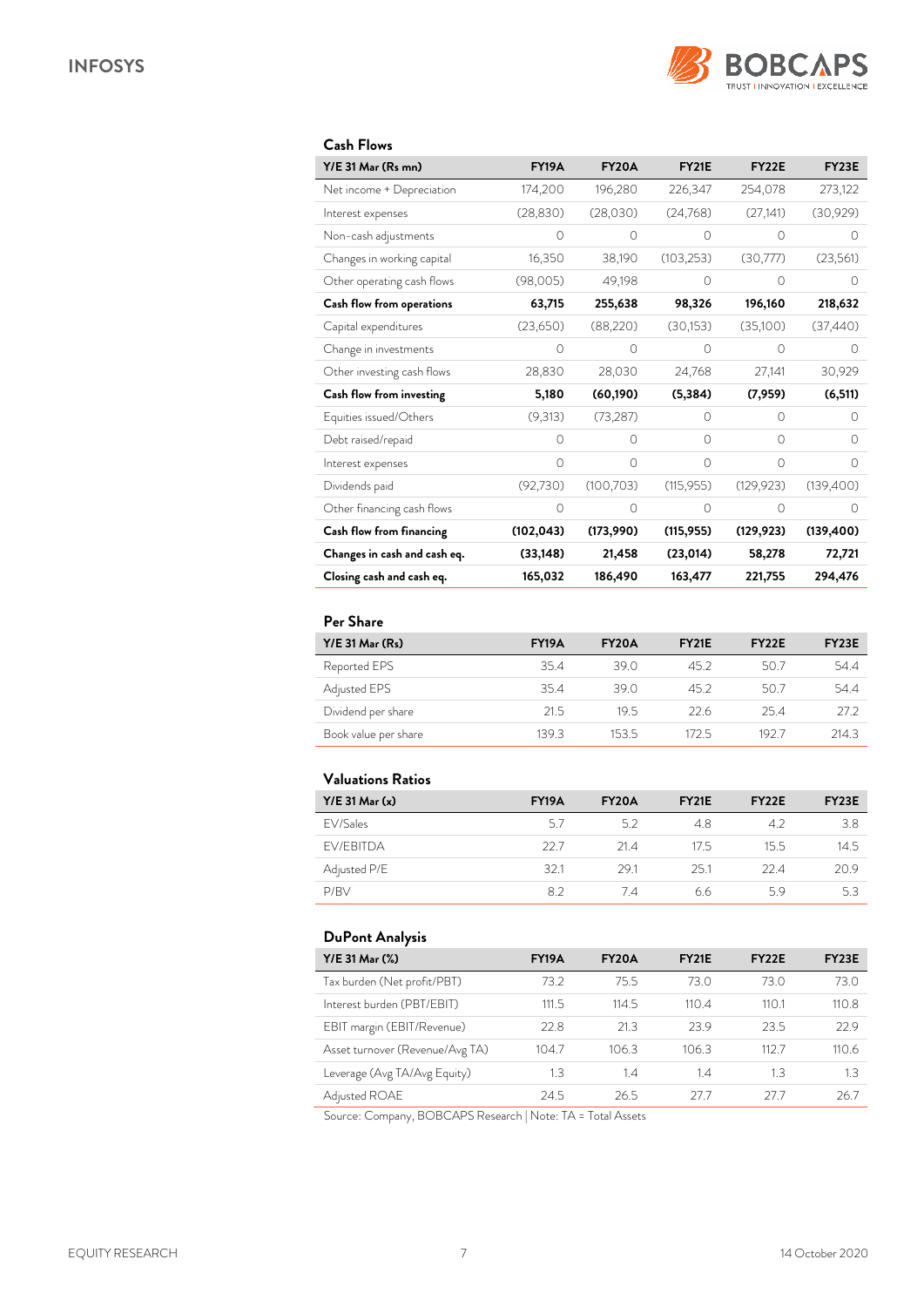

| Y/E 31 Mar (Rs mn)           | <b>FY19A</b> | <b>FY20A</b> | <b>FY21E</b> | <b>FY22E</b> | <b>FY23E</b> |
|------------------------------|--------------|--------------|--------------|--------------|--------------|
| Net income + Depreciation    | 174,200      | 196,280      | 226,347      | 254,078      | 273,122      |
| Interest expenses            | (28, 830)    | (28,030)     | (24,768)     | (27, 141)    | (30,929)     |
| Non-cash adjustments         | 0            | $\Omega$     | 0            | 0            | $\bigcap$    |
| Changes in working capital   | 16,350       | 38,190       | (103, 253)   | (30,777)     | (23,561)     |
| Other operating cash flows   | (98,005)     | 49,198       | $\Omega$     | $\Omega$     | $\Omega$     |
| Cash flow from operations    | 63,715       | 255,638      | 98,326       | 196,160      | 218,632      |
| Capital expenditures         | (23,650)     | (88, 220)    | (30, 153)    | (35,100)     | (37, 440)    |
| Change in investments        | $\Omega$     | $\bigcap$    | $\Omega$     | $\Omega$     | $\bigcap$    |
| Other investing cash flows   | 28,830       | 28,030       | 24,768       | 27,141       | 30,929       |
| Cash flow from investing     | 5,180        | (60, 190)    | (5, 384)     | (7,959)      | (6, 511)     |
| Equities issued/Others       | (9,313)      | (73, 287)    | $\Omega$     | $\Omega$     | $\Omega$     |
| Debt raised/repaid           | $\Omega$     | $\bigcap$    | $\bigcap$    | 0            | $\bigcap$    |
| Interest expenses            | $\Omega$     | $\Omega$     | $\Omega$     | $\Omega$     | ∩            |
| Dividends paid               | (92, 730)    | (100, 703)   | (115, 955)   | (129, 923)   | (139,400)    |
| Other financing cash flows   | $\Omega$     | $\Omega$     | $\Omega$     | 0            | ∩            |
| Cash flow from financing     | (102, 043)   | (173,990)    | (115, 955)   | (129, 923)   | (139, 400)   |
| Changes in cash and cash eq. | (33, 148)    | 21,458       | (23,014)     | 58,278       | 72,721       |
| Closing cash and cash eq.    | 165,032      | 186,490      | 163,477      | 221,755      | 294,476      |

#### *Per Share*

| $Y/E$ 31 Mar $(Rs)$  | <b>FY19A</b> | <b>FY20A</b>    | <b>FY21E</b> | FY <sub>22</sub> E | FY <sub>23</sub> E |
|----------------------|--------------|-----------------|--------------|--------------------|--------------------|
| Reported EPS         | 35.4         | 39.0            | 452          | 50.7               | 54.4               |
| Adjusted EPS         | 354          | 39 O            | 452          | 50.7               | 54.4               |
| Dividend per share   | 21.5         | 19 <sub>5</sub> | 226          | 25.4               | 27.2               |
| Book value per share | 139.3        | 153.5           | 1725         | 1927               | 214.3              |

## *Valuations Ratios*

| $Y/E$ 31 Mar $(x)$ | <b>FY19A</b> | <b>FY20A</b> | <b>FY21E</b> | FY <sub>22</sub> E | FY <sub>23</sub> E |
|--------------------|--------------|--------------|--------------|--------------------|--------------------|
| EV/Sales           | 57           | 52           | 48           | 42                 | 3.8                |
| <b>FV/FBITDA</b>   | 22.7         | 214          | 17.5         | 15.5               | 14.5               |
| Adjusted P/E       | 321          | 291          | 251          | 22.4               | 20.9               |
| P/RV               | 82           | 74           | 66           | 59                 | 5.3                |

## *DuPont Analysis*

| Y/E 31 Mar (%)                  | <b>FY19A</b> | FY <sub>20</sub> A | FY <sub>21</sub> E | FY <sub>22</sub> E | FY <sub>23</sub> E |
|---------------------------------|--------------|--------------------|--------------------|--------------------|--------------------|
| Tax burden (Net profit/PBT)     | 73.2         | 75.5               | 73.0               | 73.0               | 73.0               |
| Interest burden (PBT/EBIT)      | 111.5        | 114.5              | 110.4              | 110.1              | 110.8              |
| EBIT margin (EBIT/Revenue)      | 22.8         | 21.3               | 23.9               | 23.5               | 22.9               |
| Asset turnover (Revenue/Avg TA) | 104.7        | 106.3              | 106.3              | 1127               | 110.6              |
| Leverage (Avg TA/Avg Equity)    | 1.3          | 1.4                | 1.4                | 1.3                | 1.3                |
| Adjusted ROAE                   | 24.5         | 26.5               | 27 7               | 27 7               | 26.7               |

Source: Company, BOBCAPS Research | Note: TA = Total Assets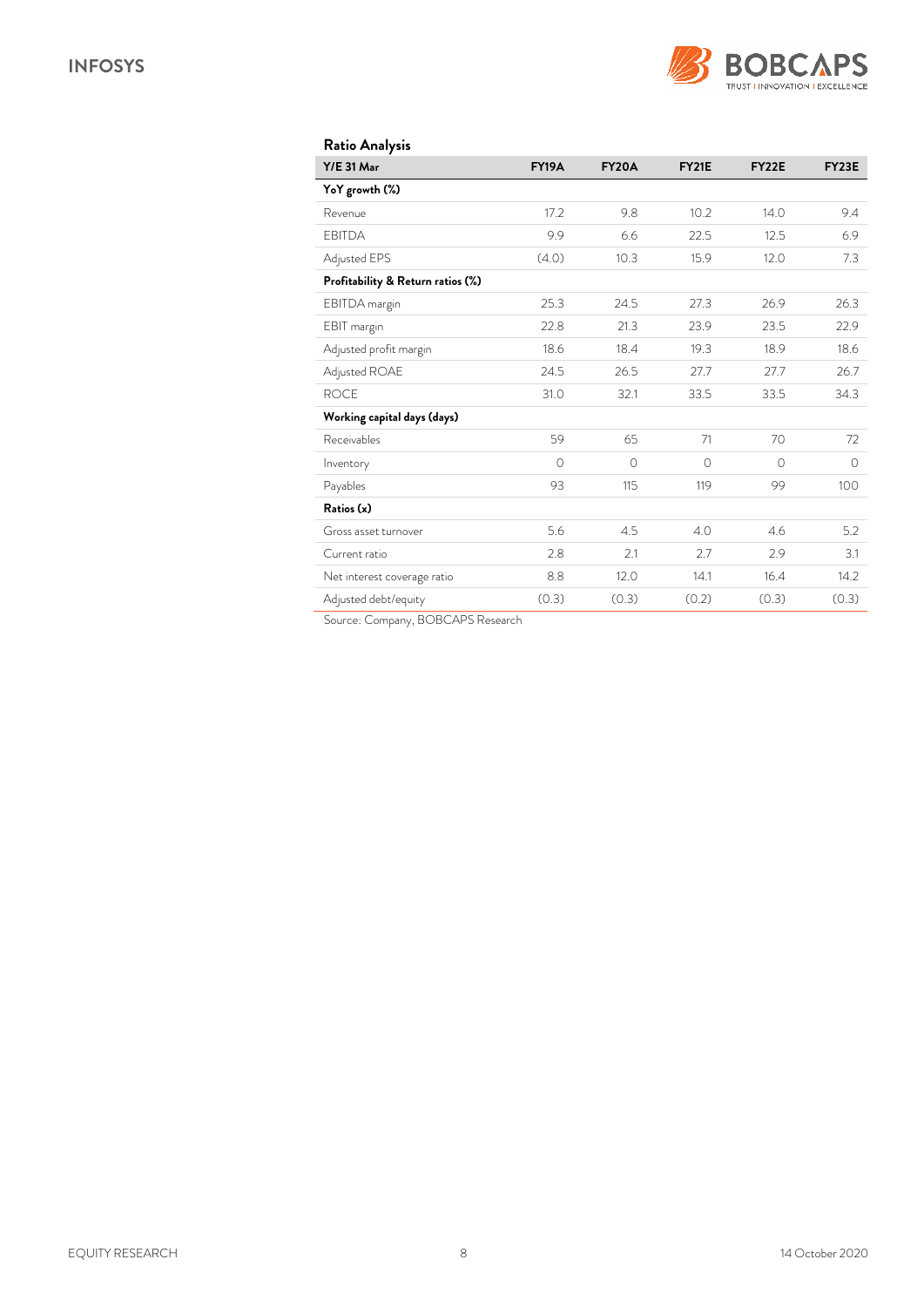

| Ratio Analysis                    |              |              |              |         |              |
|-----------------------------------|--------------|--------------|--------------|---------|--------------|
| <b>Y/E 31 Mar</b>                 | <b>FY19A</b> | <b>FY20A</b> | <b>FY21E</b> | FY22E   | <b>FY23E</b> |
| YoY growth (%)                    |              |              |              |         |              |
| Revenue                           | 17.2         | 9.8          | 10.2         | 14.0    | 9.4          |
| <b>EBITDA</b>                     | 9.9          | 6.6          | 22.5         | 12.5    | 6.9          |
| Adjusted EPS                      | (4.0)        | 10.3         | 15.9         | 12.0    | 7.3          |
| Profitability & Return ratios (%) |              |              |              |         |              |
| EBITDA margin                     | 25.3         | 24.5         | 27.3         | 26.9    | 26.3         |
| EBIT margin                       | 22.8         | 21.3         | 23.9         | 23.5    | 22.9         |
| Adjusted profit margin            | 18.6         | 18.4         | 19.3         | 18.9    | 18.6         |
| Adjusted ROAE                     | 24.5         | 26.5         | 27.7         | 27.7    | 26.7         |
| <b>ROCE</b>                       | 31.0         | 32.1         | 33.5         | 33.5    | 34.3         |
| Working capital days (days)       |              |              |              |         |              |
| Receivables                       | 59           | 65           | 71           | 70      | 72           |
| Inventory                         | $\circ$      | $\circ$      | $\circ$      | $\circ$ | $\circ$      |
| Payables                          | 93           | 115          | 119          | 99      | 100          |
| Ratios (x)                        |              |              |              |         |              |
| Gross asset turnover              | 5.6          | 4.5          | 4.0          | 4.6     | 5.2          |
| Current ratio                     | 2.8          | 2.1          | 2.7          | 2.9     | 3.1          |
| Net interest coverage ratio       | 8.8          | 12.0         | 14.1         | 16.4    | 14.2         |
| Adjusted debt/equity              | (0.3)        | (0.3)        | (0.2)        | (0.3)   | (0.3)        |

Source: Company, BOBCAPS Research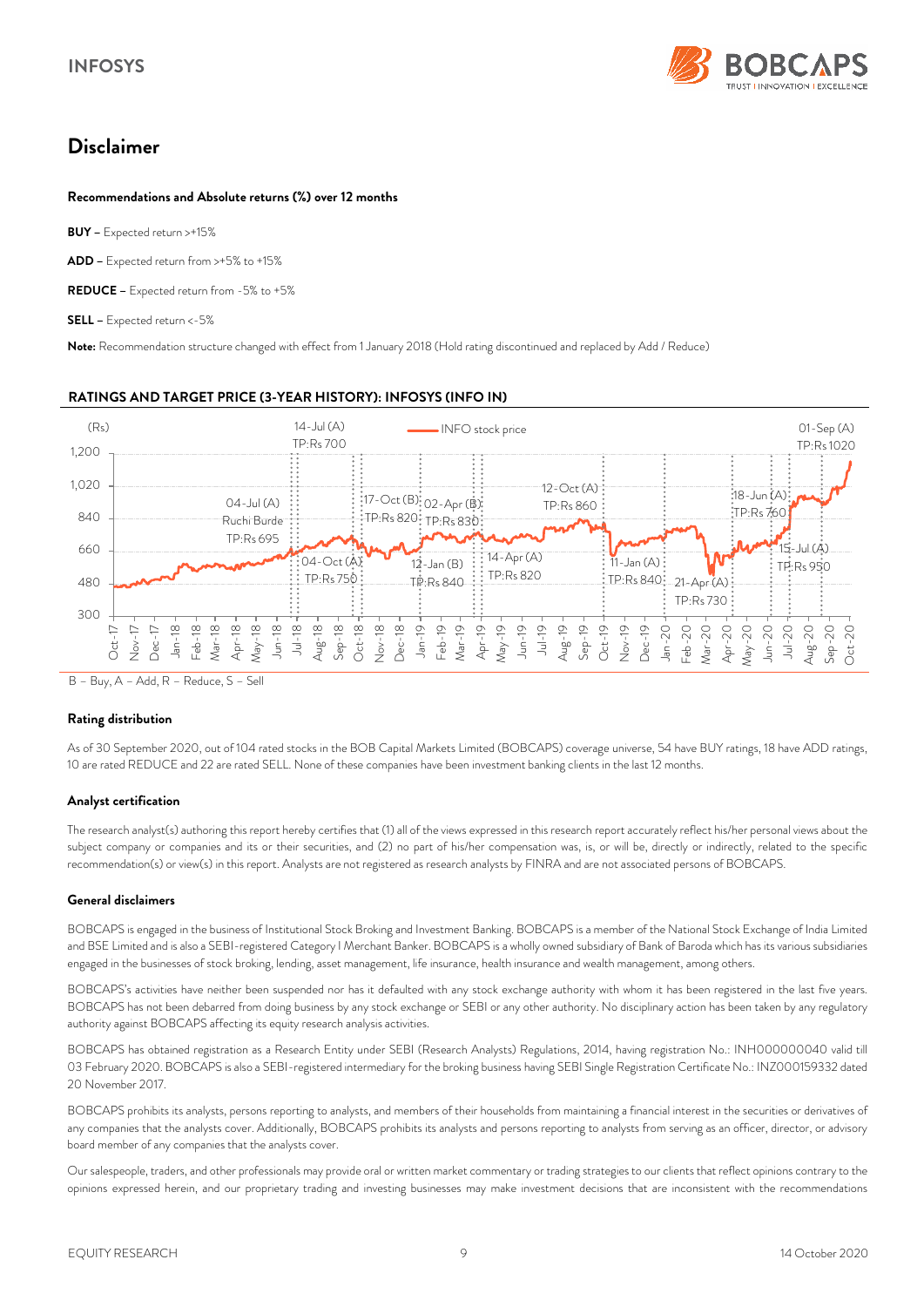

# *Disclaimer*

#### *Recommendations and Absolute returns (%) over 12 months*

*BUY –* Expected return >+15%

*ADD –* Expected return from >+5% to +15%

*REDUCE –* Expected return from -5% to +5%

*SELL –* Expected return <-5%

*Note:* Recommendation structure changed with effect from 1 January 2018 (Hold rating discontinued and replaced by Add / Reduce)

#### *RATINGS AND TARGET PRICE (3-YEAR HISTORY): INFOSYS (INFO IN)*



B – Buy, A – Add, R – Reduce, S – Sell

#### *Rating distribution*

As of 30 September 2020, out of 104 rated stocks in the BOB Capital Markets Limited (BOBCAPS) coverage universe, 54 have BUY ratings, 18 have ADD ratings, 10 are rated REDUCE and 22 are rated SELL. None of these companies have been investment banking clients in the last 12 months.

#### *Analyst certification*

The research analyst(s) authoring this report hereby certifies that (1) all of the views expressed in this research report accurately reflect his/her personal views about the subject company or companies and its or their securities, and (2) no part of his/her compensation was, is, or will be, directly or indirectly, related to the specific recommendation(s) or view(s) in this report. Analysts are not registered as research analysts by FINRA and are not associated persons of BOBCAPS.

#### *General disclaimers*

BOBCAPS is engaged in the business of Institutional Stock Broking and Investment Banking. BOBCAPS is a member of the National Stock Exchange of India Limited and BSE Limited and is also a SEBI-registered Category I Merchant Banker. BOBCAPS is a wholly owned subsidiary of Bank of Baroda which has its various subsidiaries engaged in the businesses of stock broking, lending, asset management, life insurance, health insurance and wealth management, among others.

BOBCAPS's activities have neither been suspended nor has it defaulted with any stock exchange authority with whom it has been registered in the last five years. BOBCAPS has not been debarred from doing business by any stock exchange or SEBI or any other authority. No disciplinary action has been taken by any regulatory authority against BOBCAPS affecting its equity research analysis activities.

BOBCAPS has obtained registration as a Research Entity under SEBI (Research Analysts) Regulations, 2014, having registration No.: INH000000040 valid till 03 February 2020. BOBCAPS is also a SEBI-registered intermediary for the broking business having SEBI Single Registration Certificate No.: INZ000159332 dated 20 November 2017.

BOBCAPS prohibits its analysts, persons reporting to analysts, and members of their households from maintaining a financial interest in the securities or derivatives of any companies that the analysts cover. Additionally, BOBCAPS prohibits its analysts and persons reporting to analysts from serving as an officer, director, or advisory board member of any companies that the analysts cover.

Our salespeople, traders, and other professionals may provide oral or written market commentary or trading strategies to our clients that reflect opinions contrary to the opinions expressed herein, and our proprietary trading and investing businesses may make investment decisions that are inconsistent with the recommendations